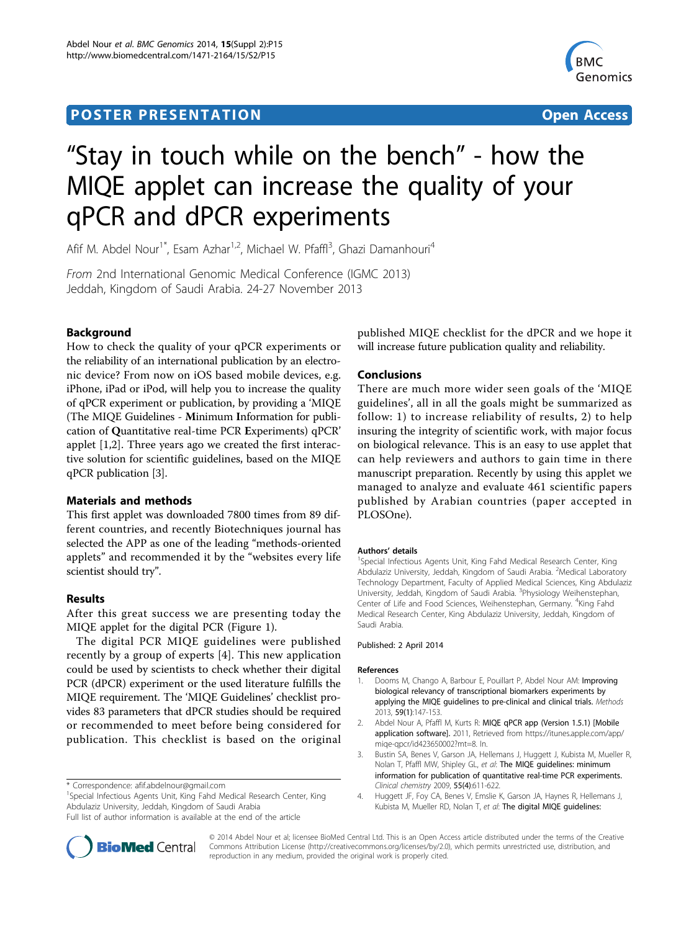## **POSTER PRESENTATION CONSUMING ACCESS**



# "Stay in touch while on the bench" - how the MIQE applet can increase the quality of your qPCR and dPCR experiments

Afif M. Abdel Nour<sup>1\*</sup>, Esam Azhar<sup>1,2</sup>, Michael W. Pfaffl<sup>3</sup>, Ghazi Damanhouri<sup>4</sup>

From 2nd International Genomic Medical Conference (IGMC 2013) Jeddah, Kingdom of Saudi Arabia. 24-27 November 2013

## Background

How to check the quality of your qPCR experiments or the reliability of an international publication by an electronic device? From now on iOS based mobile devices, e.g. iPhone, iPad or iPod, will help you to increase the quality of qPCR experiment or publication, by providing a 'MIQE (The MIQE Guidelines - Minimum Information for publication of Quantitative real-time PCR Experiments) qPCR' applet [1,2]. Three years ago we created the first interactive solution for scientific guidelines, based on the MIQE qPCR publication [3].

## Materials and methods

This first applet was downloaded 7800 times from 89 different countries, and recently Biotechniques journal has selected the APP as one of the leading "methods-oriented applets" and recommended it by the "websites every life scientist should try".

## Results

After this great success we are presenting today the MIQE applet for the digital PCR (Figure [1\)](#page-1-0).

The digital PCR MIQE guidelines were published recently by a group of experts [4]. This new application could be used by scientists to check whether their digital PCR (dPCR) experiment or the used literature fulfills the MIQE requirement. The 'MIQE Guidelines' checklist provides 83 parameters that dPCR studies should be required or recommended to meet before being considered for publication. This checklist is based on the original

<sup>1</sup>Special Infectious Agents Unit, King Fahd Medical Research Center, King Abdulaziz University, Jeddah, Kingdom of Saudi Arabia



## Conclusions

There are much more wider seen goals of the 'MIQE guidelines', all in all the goals might be summarized as follow: 1) to increase reliability of results, 2) to help insuring the integrity of scientific work, with major focus on biological relevance. This is an easy to use applet that can help reviewers and authors to gain time in there manuscript preparation. Recently by using this applet we managed to analyze and evaluate 461 scientific papers published by Arabian countries (paper accepted in PLOSOne).

#### Authors' details <sup>1</sup>

<sup>1</sup>Special Infectious Agents Unit, King Fahd Medical Research Center, King Abdulaziz University, Jeddah, Kingdom of Saudi Arabia. <sup>2</sup>Medical Laboratory Technology Department, Faculty of Applied Medical Sciences, King Abdulaziz University, Jeddah, Kingdom of Saudi Arabia. <sup>3</sup>Physiology Weihenstephan, Center of Life and Food Sciences, Weihenstephan, Germany. <sup>4</sup>King Fahd Medical Research Center, King Abdulaziz University, Jeddah, Kingdom of Saudi Arabia.

#### Published: 2 April 2014

#### References

- 1. Dooms M, Chango A, Barbour E, Pouillart P, Abdel Nour AM: Improving biological relevancy of transcriptional biomarkers experiments by applying the MIQE guidelines to pre-clinical and clinical trials. Methods 2013, 59(1):147-153.
- 2. Abdel Nour A, Pfaffl M, Kurts R: MIQE qPCR app (Version 1.5.1) [Mobile application software]. 2011, Retrieved from https://itunes.apple.com/app/ miqe-qpcr/id423650002?mt=8. In.
- 3. Bustin SA, Benes V, Garson JA, Hellemans J, Huggett J, Kubista M, Mueller R, Nolan T, Pfaffl MW, Shipley GL, et al: The MIQE guidelines: minimum information for publication of quantitative real-time PCR experiments. Clinical chemistry 2009, 55(4):611-622.
- 4. Huggett JF, Foy CA, Benes V, Emslie K, Garson JA, Haynes R, Hellemans J, Kubista M, Mueller RD, Nolan T, et al: The digital MIQE guidelines:



© 2014 Abdel Nour et al; licensee BioMed Central Ltd. This is an Open Access article distributed under the terms of the Creative Commons Attribution License [\(http://creativecommons.org/licenses/by/2.0](http://creativecommons.org/licenses/by/2.0)), which permits unrestricted use, distribution, and reproduction in any medium, provided the original work is properly cited.

<sup>\*</sup> Correspondence: [afif.abdelnour@gmail.com](mailto:afif.abdelnour@gmail.com)

Full list of author information is available at the end of the article